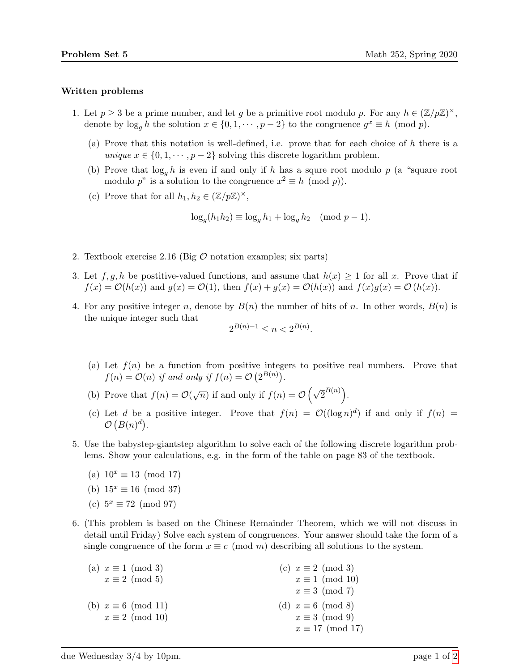## Written problems

- 1. Let  $p \geq 3$  be a prime number, and let g be a primitive root modulo p. For any  $h \in (\mathbb{Z}/p\mathbb{Z})^{\times}$ , denote by  $\log_g h$  the solution  $x \in \{0, 1, \dots, p-2\}$  to the congruence  $g^x \equiv h \pmod{p}$ .
	- (a) Prove that this notation is well-defined, i.e. prove that for each choice of h there is a unique  $x \in \{0, 1, \dots, p-2\}$  solving this discrete logarithm problem.
	- (b) Prove that  $\log_q h$  is even if and only if h has a squre root modulo p (a "square root modulo p" is a solution to the congruence  $x^2 \equiv h \pmod{p}$ .
	- (c) Prove that for all  $h_1, h_2 \in (\mathbb{Z}/p\mathbb{Z})^{\times}$ ,

$$
\log_g(h_1 h_2) \equiv \log_g h_1 + \log_g h_2 \pmod{p-1}.
$$

- 2. Textbook exercise 2.16 (Big  $\mathcal O$  notation examples; six parts)
- 3. Let  $f, g, h$  be postitive-valued functions, and assume that  $h(x) \geq 1$  for all x. Prove that if  $f(x) = \mathcal{O}(h(x))$  and  $g(x) = \mathcal{O}(1)$ , then  $f(x) + g(x) = \mathcal{O}(h(x))$  and  $f(x)g(x) = \mathcal{O}(h(x))$ .
- 4. For any positive integer n, denote by  $B(n)$  the number of bits of n. In other words,  $B(n)$  is the unique integer such that

$$
2^{B(n)-1} \le n < 2^{B(n)}.
$$

- (a) Let  $f(n)$  be a function from positive integers to positive real numbers. Prove that  $f(n) = \mathcal{O}(n)$  if and only if  $f(n) = \mathcal{O}(2^{B(n)})$ .
- (b) Prove that  $f(n) = \mathcal{O}(\sqrt{n})$  if and only if  $f(n) = \mathcal{O}(\sqrt{2}^{B(n)})$ .
- (c) Let d be a positive integer. Prove that  $f(n) = \mathcal{O}((\log n)^d)$  if and only if  $f(n) =$  $\mathcal{O}(B(n)^d)$ .
- 5. Use the babystep-giantstep algorithm to solve each of the following discrete logarithm problems. Show your calculations, e.g. in the form of the table on page 83 of the textbook.
	- (a)  $10^x \equiv 13 \pmod{17}$
	- (b)  $15^x \equiv 16 \pmod{37}$
	- (c)  $5^x \equiv 72 \pmod{97}$
- 6. (This problem is based on the Chinese Remainder Theorem, which we will not discuss in detail until Friday) Solve each system of congruences. Your answer should take the form of a single congruence of the form  $x \equiv c \pmod{m}$  describing all solutions to the system.

| (a) $x \equiv 1 \pmod{3}$  | (c) $x \equiv 2 \pmod{3}$ |
|----------------------------|---------------------------|
| $x \equiv 2 \pmod{5}$      | $x \equiv 1 \pmod{10}$    |
|                            | $x \equiv 3 \pmod{7}$     |
| (b) $x \equiv 6 \pmod{11}$ | (d) $x \equiv 6 \pmod{8}$ |
| $x \equiv 2 \pmod{10}$     | $x \equiv 3 \pmod{9}$     |
|                            | $x \equiv 17 \pmod{17}$   |